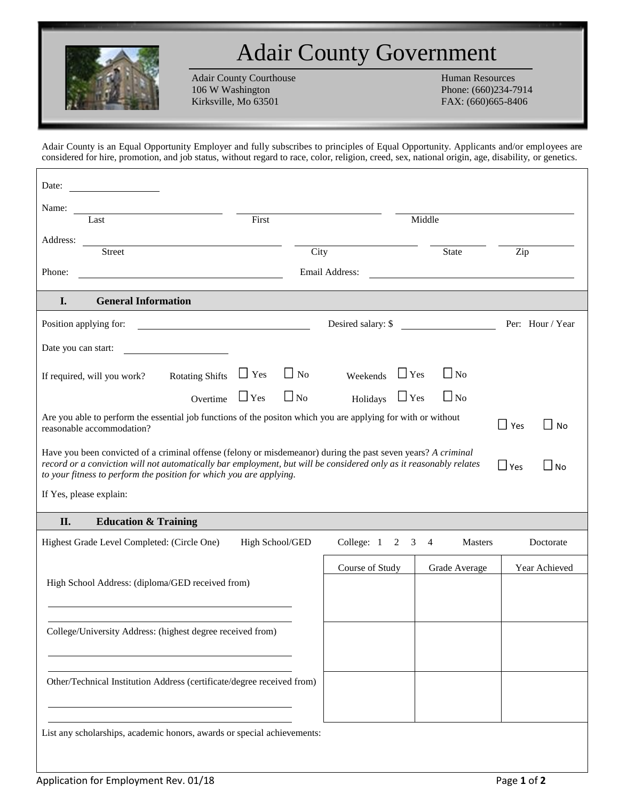

## Adair County Government

Adair County Courthouse Human Resources<br>106 W Washington Phone: (660)234-7 Kirksville, Mo 63501 FAX: (660)665-8406

Phone: (660)234-7914

Adair County is an Equal Opportunity Employer and fully subscribes to principles of Equal Opportunity. Applicants and/or employees are considered for hire, promotion, and job status, without regard to race, color, religion, creed, sex, national origin, age, disability, or genetics.

| Date:                                                                                                                                                                                                                                                                                                                                 |                        |                 |                    |                     |  |            |                |  |                  |  |
|---------------------------------------------------------------------------------------------------------------------------------------------------------------------------------------------------------------------------------------------------------------------------------------------------------------------------------------|------------------------|-----------------|--------------------|---------------------|--|------------|----------------|--|------------------|--|
| Name:                                                                                                                                                                                                                                                                                                                                 |                        |                 |                    |                     |  |            |                |  |                  |  |
| Last                                                                                                                                                                                                                                                                                                                                  |                        | First           |                    |                     |  | Middle     |                |  |                  |  |
| Address:<br><b>Street</b>                                                                                                                                                                                                                                                                                                             |                        |                 | City               |                     |  |            | <b>State</b>   |  | Zip              |  |
| Phone:                                                                                                                                                                                                                                                                                                                                |                        |                 | Email Address:     |                     |  |            |                |  |                  |  |
|                                                                                                                                                                                                                                                                                                                                       |                        |                 |                    |                     |  |            |                |  |                  |  |
| <b>General Information</b><br>I.                                                                                                                                                                                                                                                                                                      |                        |                 |                    |                     |  |            |                |  |                  |  |
| Position applying for:                                                                                                                                                                                                                                                                                                                |                        |                 | Desired salary: \$ |                     |  |            |                |  | Per: Hour / Year |  |
| Date you can start:                                                                                                                                                                                                                                                                                                                   |                        |                 |                    |                     |  |            |                |  |                  |  |
| If required, will you work?                                                                                                                                                                                                                                                                                                           | <b>Rotating Shifts</b> | $\Box$ Yes      | $\Box$ No          | Weekends            |  | $\Box$ Yes | $\Box$ No      |  |                  |  |
|                                                                                                                                                                                                                                                                                                                                       | Overtime               | $\Box$ Yes      | $\Box$ No          | Holidays $\Box$ Yes |  |            | $\Box$ No      |  |                  |  |
| Are you able to perform the essential job functions of the positon which you are applying for with or without<br>$\Box$ Yes<br>$\Box$<br><b>No</b><br>reasonable accommodation?                                                                                                                                                       |                        |                 |                    |                     |  |            |                |  |                  |  |
| Have you been convicted of a criminal offense (felony or misdemeanor) during the past seven years? A criminal<br>record or a conviction will not automatically bar employment, but will be considered only as it reasonably relates<br>$\Box$ No<br>$\Box$ Yes<br>to your fitness to perform the position for which you are applying. |                        |                 |                    |                     |  |            |                |  |                  |  |
| If Yes, please explain:                                                                                                                                                                                                                                                                                                               |                        |                 |                    |                     |  |            |                |  |                  |  |
| II.<br><b>Education &amp; Training</b>                                                                                                                                                                                                                                                                                                |                        |                 |                    |                     |  |            |                |  |                  |  |
| Highest Grade Level Completed: (Circle One)                                                                                                                                                                                                                                                                                           |                        | High School/GED |                    | College: 1 2        |  | 3<br>4     | <b>Masters</b> |  | Doctorate        |  |
| Course of Study<br>Grade Average                                                                                                                                                                                                                                                                                                      |                        |                 |                    |                     |  |            | Year Achieved  |  |                  |  |
| High School Address: (diploma/GED received from)                                                                                                                                                                                                                                                                                      |                        |                 |                    |                     |  |            |                |  |                  |  |
|                                                                                                                                                                                                                                                                                                                                       |                        |                 |                    |                     |  |            |                |  |                  |  |
| College/University Address: (highest degree received from)                                                                                                                                                                                                                                                                            |                        |                 |                    |                     |  |            |                |  |                  |  |
|                                                                                                                                                                                                                                                                                                                                       |                        |                 |                    |                     |  |            |                |  |                  |  |
|                                                                                                                                                                                                                                                                                                                                       |                        |                 |                    |                     |  |            |                |  |                  |  |
| Other/Technical Institution Address (certificate/degree received from)                                                                                                                                                                                                                                                                |                        |                 |                    |                     |  |            |                |  |                  |  |
|                                                                                                                                                                                                                                                                                                                                       |                        |                 |                    |                     |  |            |                |  |                  |  |
| List any scholarships, academic honors, awards or special achievements:                                                                                                                                                                                                                                                               |                        |                 |                    |                     |  |            |                |  |                  |  |
|                                                                                                                                                                                                                                                                                                                                       |                        |                 |                    |                     |  |            |                |  |                  |  |